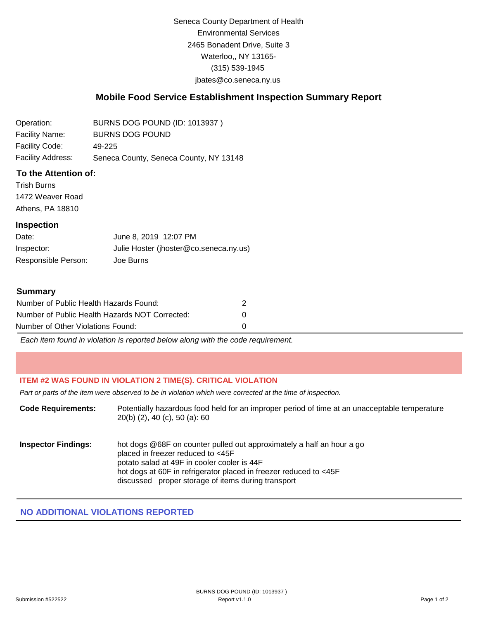Seneca County Department of Health Environmental Services 2465 Bonadent Drive, Suite 3 Waterloo,, NY 13165- (315) 539-1945 [jbates@co.seneca.ny.us](mailto:jbates@co.seneca.ny.us)

## **Mobile Food Service Establishment Inspection Summary Report**

Operation: Facility Name: Facility Code: Facility Address: BURNS DOG POUND (ID: 1013937 ) BURNS DOG POUND 49-225 Seneca County, Seneca County, NY 13148

### **To the Attention of:**

Trish Burns 1472 Weaver Road Athens, PA 18810

#### **Inspection**

Date: Inspector: Responsible Person: June 8, 2019 12:07 PM Julie Hoster (jhoster@co.seneca.ny.us) Joe Burns

#### **Summary**

| Number of Public Health Hazards Found:         |  |
|------------------------------------------------|--|
| Number of Public Health Hazards NOT Corrected: |  |
| Number of Other Violations Found:              |  |

*Each item found in violation is reported below along with the code requirement.*

### **ITEM #2 WAS FOUND IN VIOLATION 2 TIME(S). CRITICAL VIOLATION**

*Part or parts of the item were observed to be in violation which were corrected at the time of inspection.*

| <b>Code Requirements:</b>  | Potentially hazardous food held for an improper period of time at an unacceptable temperature<br>$20(b)$ (2), 40 (c), 50 (a): 60                                                                                                                                                     |
|----------------------------|--------------------------------------------------------------------------------------------------------------------------------------------------------------------------------------------------------------------------------------------------------------------------------------|
| <b>Inspector Findings:</b> | hot dogs @68F on counter pulled out approximately a half an hour a go<br>placed in freezer reduced to <45F<br>potato salad at 49F in cooler cooler is 44F<br>hot dogs at 60F in refrigerator placed in freezer reduced to <45F<br>discussed proper storage of items during transport |

## **NO ADDITIONAL VIOLATIONS REPORTED**